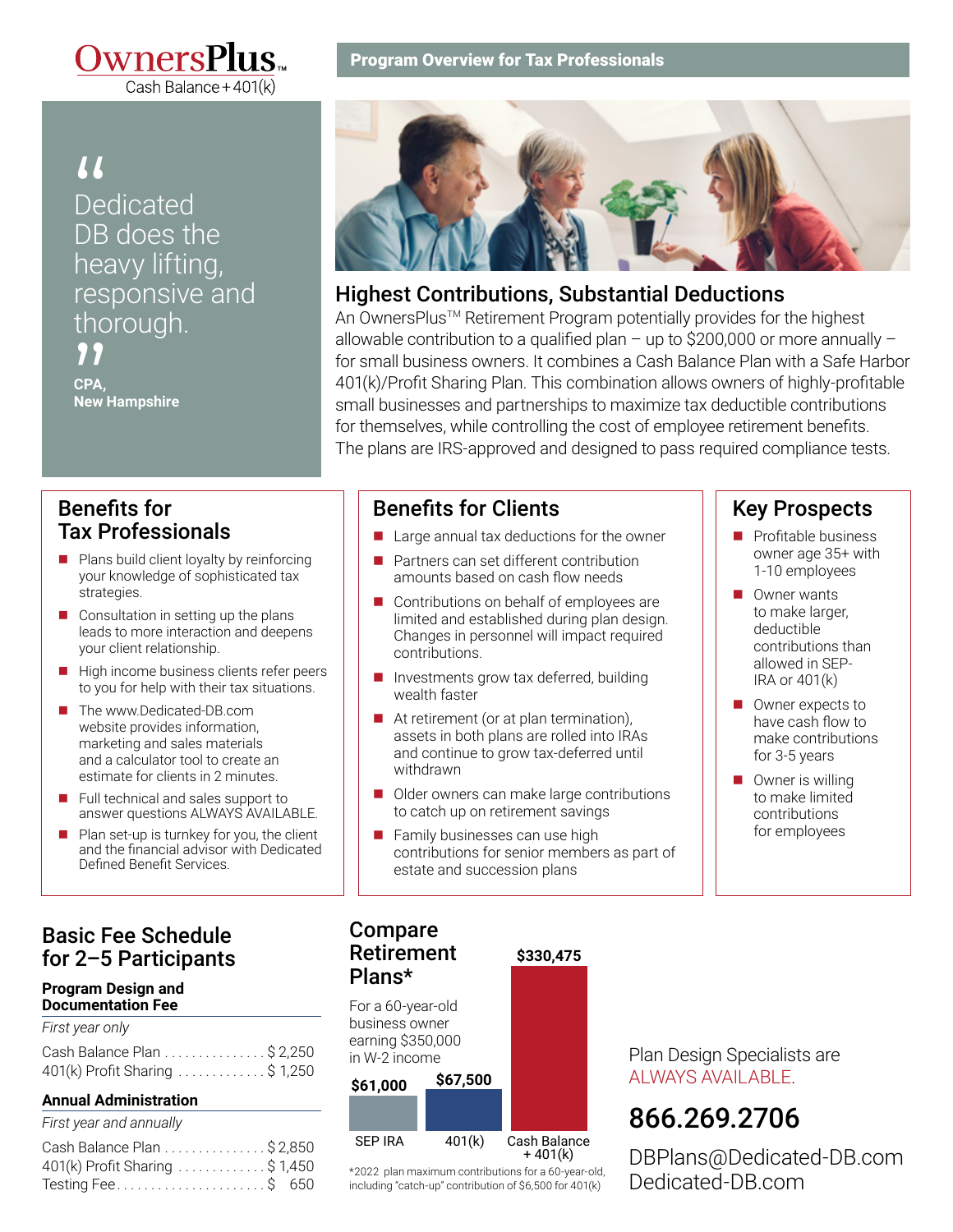

## *II*<br>Dedicated<br>DB does the Dedicated heavy lifting, responsive and thorough. "

**CPA, New Hampshire**

### Benefits for Tax Professionals

- $\blacksquare$  Plans build client loyalty by reinforcing your knowledge of sophisticated tax strategies.
- $\Box$  Consultation in setting up the plans leads to more interaction and deepens your client relationship.
- $\blacksquare$  High income business clients refer peers to you for help with their tax situations.
- The www.Dedicated-DB.com website provides information, marketing and sales materials and a calculator tool to create an estimate for clients in 2 minutes.
- $\blacksquare$  Full technical and sales support to answer questions ALWAYS AVAILABLE.
- $\blacksquare$  Plan set-up is turnkey for you, the client and the financial advisor with Dedicated Defined Benefit Services.

## Basic Fee Schedule for 2–5 Participants

#### **Program Design and Documentation Fee**

| First year only                |  |
|--------------------------------|--|
| Cash Balance Plan \$ 2,250     |  |
| 401(k) Profit Sharing \$ 1,250 |  |

#### **Annual Administration**

| Cash Balance Plan \$ 2,850     |
|--------------------------------|
| 401(k) Profit Sharing \$ 1,450 |
| Testing Fee\$ 650              |
|                                |

#### Program Overview for Tax Professionals



#### Highest Contributions, Substantial Deductions

An OwnersPlus™ Retirement Program potentially provides for the highest allowable contribution to a qualified plan – up to \$200,000 or more annually – for small business owners. It combines a Cash Balance Plan with a Safe Harbor 401(k)/Profit Sharing Plan. This combination allows owners of highly-profitable small businesses and partnerships to maximize tax deductible contributions for themselves, while controlling the cost of employee retirement benefits. The plans are IRS-approved and designed to pass required compliance tests.

#### Benefits for Clients

- $\blacksquare$  Large annual tax deductions for the owner
- n Partners can set different contribution amounts based on cash flow needs
- $\blacksquare$  Contributions on behalf of employees are limited and established during plan design. Changes in personnel will impact required contributions.
- Investments grow tax deferred, building wealth faster
- At retirement (or at plan termination), assets in both plans are rolled into IRAs and continue to grow tax-deferred until withdrawn
- Older owners can make large contributions to catch up on retirement savings
- Family businesses can use high contributions for senior members as part of estate and succession plans

**\$330,475**

#### Key Prospects

- $\blacksquare$  Profitable business owner age 35+ with 1-10 employees
- $\blacksquare$  Owner wants to make larger, deductible contributions than allowed in SEP-IRA or 401(k)
- $\blacksquare$  Owner expects to have cash flow to make contributions for 3-5 years
- $\Box$  Owner is willing to make limited contributions for employees

#### Compare Retirement Plans\*

For a 60-year-old business owner earning \$350,000 in W-2 income



\*2022 plan maximum contributions for a 60-year-old, including "catch-up" contribution of \$6,500 for 401(k)

Plan Design Specialists are ALWAYS AVAILABLE.

# [866.269.2706](tel:8662692706)

[DBPlans@Dedicated-DB.com](mailto:DBPlans@Dedicated-DB.com) [Dedicated-DB.co](http://www.Dedicated-DB.com/)[m](https://www.dedicated-db.com/)